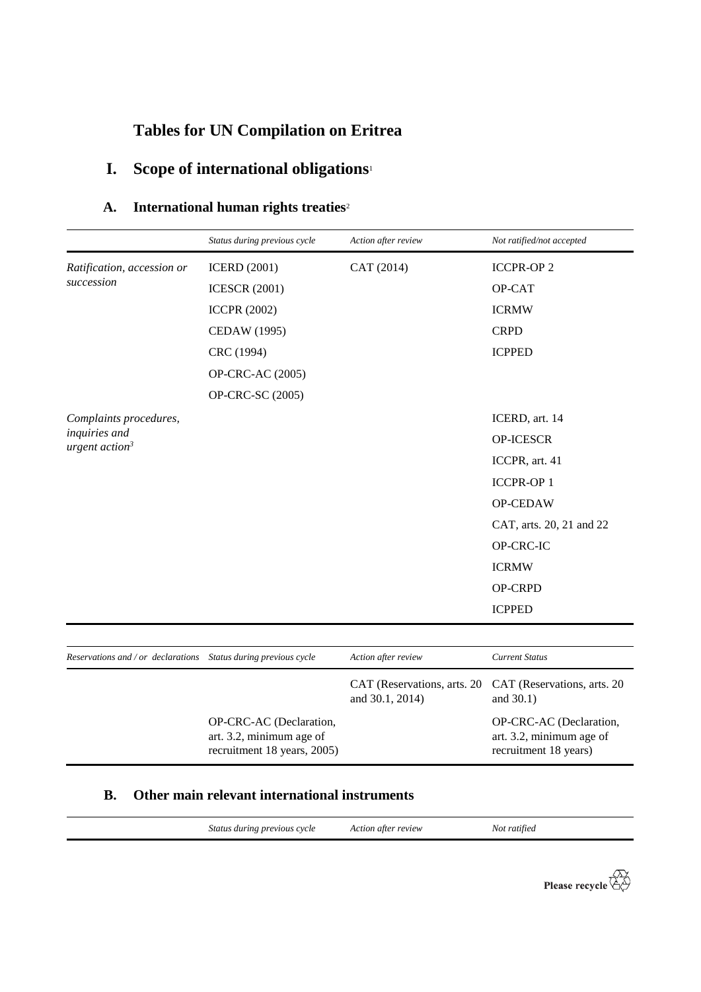# **Tables for UN Compilation on Eritrea**

# **I. Scope of international obligations**<sup>1</sup>

# **A. International human rights treaties**<sup>2</sup>

|                                                                  | Status during previous cycle                                                       | Action after review                            | Not ratified/not accepted                                                    |
|------------------------------------------------------------------|------------------------------------------------------------------------------------|------------------------------------------------|------------------------------------------------------------------------------|
| Ratification, accession or<br>succession                         | <b>ICERD</b> (2001)                                                                | CAT (2014)                                     | <b>ICCPR-OP2</b>                                                             |
|                                                                  | <b>ICESCR (2001)</b>                                                               |                                                | OP-CAT                                                                       |
|                                                                  | <b>ICCPR (2002)</b>                                                                |                                                | <b>ICRMW</b>                                                                 |
|                                                                  | CEDAW (1995)                                                                       |                                                | <b>CRPD</b>                                                                  |
|                                                                  | CRC (1994)                                                                         |                                                | <b>ICPPED</b>                                                                |
|                                                                  | OP-CRC-AC (2005)                                                                   |                                                |                                                                              |
|                                                                  | OP-CRC-SC (2005)                                                                   |                                                |                                                                              |
| Complaints procedures,                                           |                                                                                    |                                                | ICERD, art. 14                                                               |
| inquiries and<br>urgent action <sup>3</sup>                      |                                                                                    |                                                | <b>OP-ICESCR</b>                                                             |
|                                                                  |                                                                                    |                                                | ICCPR, art. 41                                                               |
|                                                                  |                                                                                    |                                                | <b>ICCPR-OP1</b>                                                             |
|                                                                  |                                                                                    |                                                | OP-CEDAW                                                                     |
|                                                                  |                                                                                    |                                                | CAT, arts. 20, 21 and 22                                                     |
|                                                                  |                                                                                    |                                                | OP-CRC-IC                                                                    |
|                                                                  |                                                                                    |                                                | <b>ICRMW</b>                                                                 |
|                                                                  |                                                                                    |                                                | <b>OP-CRPD</b>                                                               |
|                                                                  |                                                                                    |                                                | <b>ICPPED</b>                                                                |
|                                                                  |                                                                                    |                                                |                                                                              |
| Reservations and / or declarations  Status during previous cycle |                                                                                    | Action after review                            | <b>Current Status</b>                                                        |
|                                                                  |                                                                                    | CAT (Reservations, arts. 20<br>and 30.1, 2014) | CAT (Reservations, arts. 20<br>and 30.1)                                     |
|                                                                  | OP-CRC-AC (Declaration,<br>art. 3.2, minimum age of<br>recruitment 18 years, 2005) |                                                | OP-CRC-AC (Declaration,<br>art. 3.2, minimum age of<br>recruitment 18 years) |

## **B. Other main relevant international instruments**

*Status during previous cycle Action after review Not ratified*

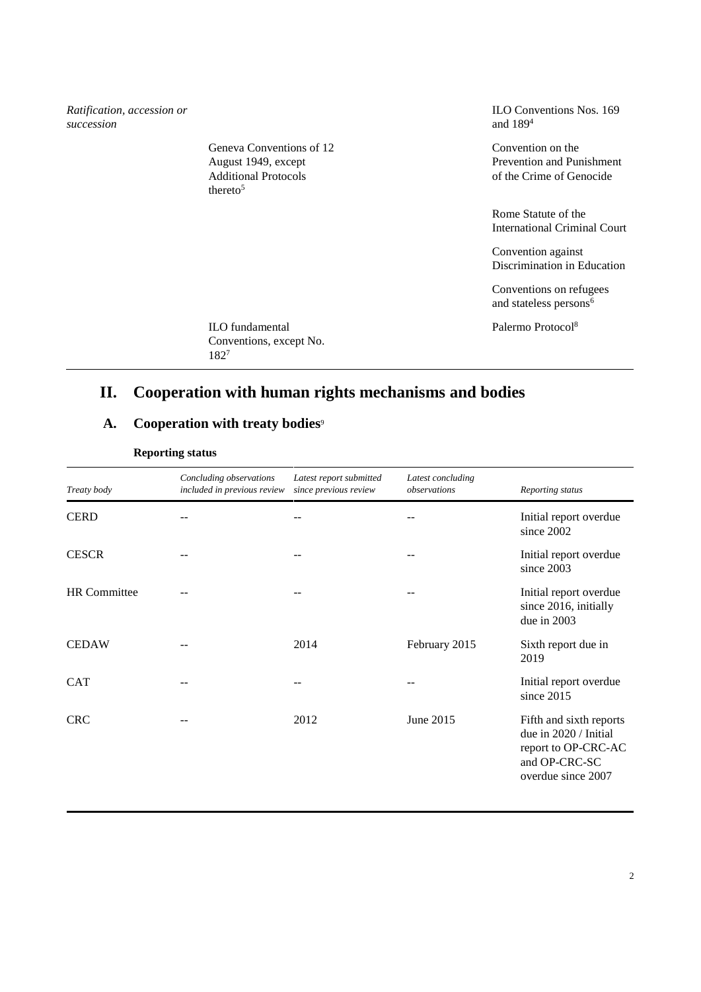*Ratification, accession or succession* ILO Conventions Nos. 169 and 189<sup>4</sup> Geneva Conventions of 12 August 1949, except Additional Protocols thereto $5$ Convention on the Prevention and Punishment of the Crime of Genocide Rome Statute of the International Criminal Court Convention against Discrimination in Education Conventions on refugees and stateless persons<sup>6</sup> ILO fundamental Conventions, except No. 182<sup>7</sup> Palermo Protocol<sup>8</sup>

# **II. Cooperation with human rights mechanisms and bodies**

## A. Cooperation with treaty bodies<sup>9</sup>

| Treaty body  | Concluding observations<br>included in previous review | Latest report submitted<br>since previous review | Latest concluding<br>observations | Reporting status                                                                                               |
|--------------|--------------------------------------------------------|--------------------------------------------------|-----------------------------------|----------------------------------------------------------------------------------------------------------------|
| <b>CERD</b>  |                                                        |                                                  |                                   | Initial report overdue<br>since 2002                                                                           |
| <b>CESCR</b> |                                                        |                                                  |                                   | Initial report overdue<br>since 2003                                                                           |
| HR Committee |                                                        |                                                  |                                   | Initial report overdue<br>since 2016, initially<br>due in 2003                                                 |
| <b>CEDAW</b> |                                                        | 2014                                             | February 2015                     | Sixth report due in<br>2019                                                                                    |
| <b>CAT</b>   |                                                        |                                                  |                                   | Initial report overdue<br>since $2015$                                                                         |
| <b>CRC</b>   |                                                        | 2012                                             | June 2015                         | Fifth and sixth reports<br>due in 2020 / Initial<br>report to OP-CRC-AC<br>and OP-CRC-SC<br>overdue since 2007 |

#### **Reporting status**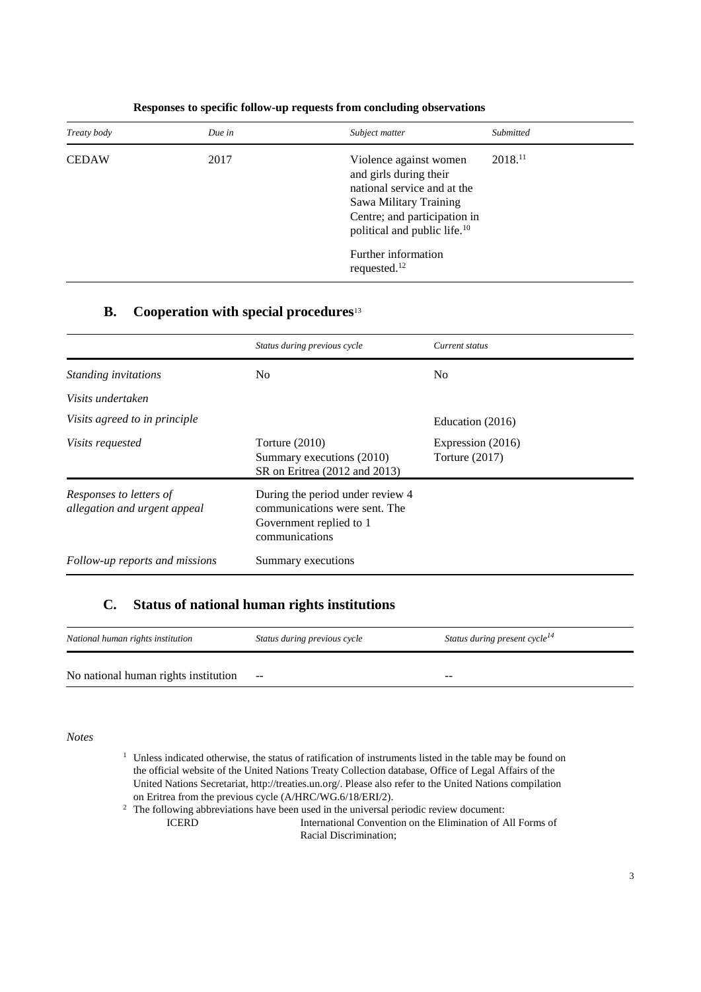| Treaty body  | Due in | Subject matter                                                                                                                                                                                                                           | Submitted           |
|--------------|--------|------------------------------------------------------------------------------------------------------------------------------------------------------------------------------------------------------------------------------------------|---------------------|
| <b>CEDAW</b> | 2017   | Violence against women<br>and girls during their<br>national service and at the<br>Sawa Military Training<br>Centre; and participation in<br>political and public life. <sup>10</sup><br>Further information<br>requested. <sup>12</sup> | 2018. <sup>11</sup> |

#### **Responses to specific follow-up requests from concluding observations**

## **B. Cooperation with special procedures**<sup>13</sup>

|                                                         | Status during previous cycle                                                                                   | Current status                        |
|---------------------------------------------------------|----------------------------------------------------------------------------------------------------------------|---------------------------------------|
| Standing invitations                                    | No.                                                                                                            | N <sub>0</sub>                        |
| Visits undertaken                                       |                                                                                                                |                                       |
| Visits agreed to in principle                           |                                                                                                                | Education (2016)                      |
| <i>Visits requested</i>                                 | Torture $(2010)$<br>Summary executions (2010)<br>SR on Eritrea (2012 and 2013)                                 | Expression (2016)<br>Torture $(2017)$ |
| Responses to letters of<br>allegation and urgent appeal | During the period under review 4<br>communications were sent. The<br>Government replied to 1<br>communications |                                       |
| Follow-up reports and missions                          | Summary executions                                                                                             |                                       |

#### **C. Status of national human rights institutions**

| National human rights institution    | Status during previous cycle | Status during present cycle <sup>14</sup> |
|--------------------------------------|------------------------------|-------------------------------------------|
| No national human rights institution | $- -$                        | $- -$                                     |

#### *Notes*

- <sup>1</sup> Unless indicated otherwise, the status of ratification of instruments listed in the table may be found on the official website of the United Nations Treaty Collection database, Office of Legal Affairs of the United Nations Secretariat, http://treaties.un.org/. Please also refer to the United Nations compilation on Eritrea from the previous cycle (A/HRC/WG.6/18/ERI/2).
- <sup>2</sup> The following abbreviations have been used in the universal periodic review document:<br>ICERD **International Convention** on the Elimination of  $\beta$ International Convention on the Elimination of All Forms of Racial Discrimination;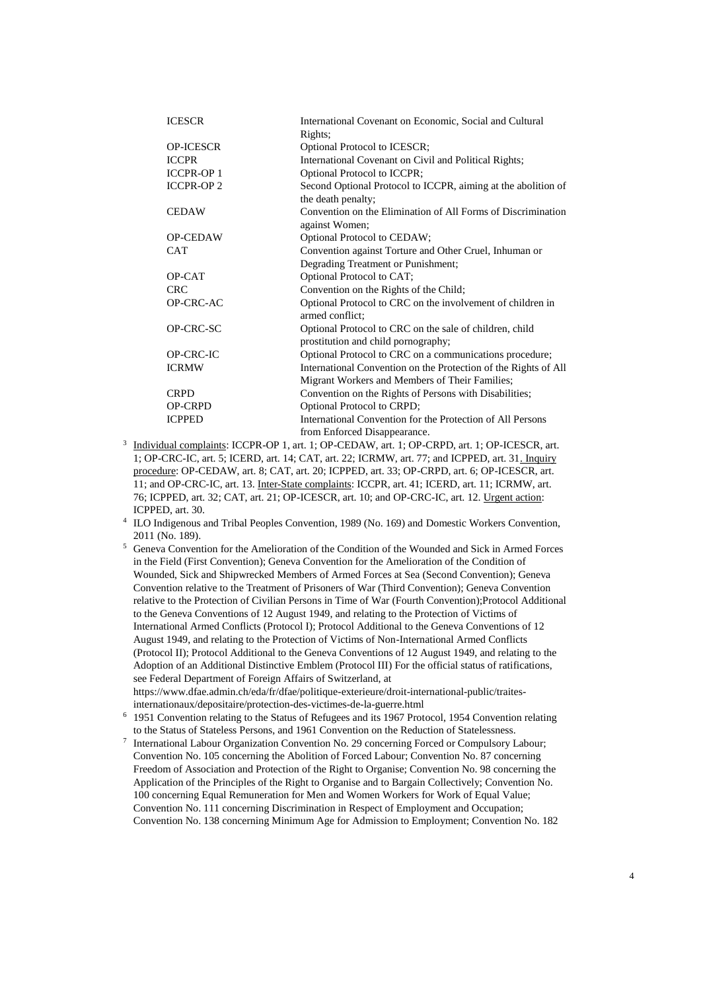| <b>ICESCR</b>     | International Covenant on Economic, Social and Cultural         |
|-------------------|-----------------------------------------------------------------|
|                   | Rights;                                                         |
| <b>OP-ICESCR</b>  | Optional Protocol to ICESCR;                                    |
| <b>ICCPR</b>      | International Covenant on Civil and Political Rights;           |
| <b>ICCPR-OP 1</b> | Optional Protocol to ICCPR;                                     |
| <b>ICCPR-OP 2</b> | Second Optional Protocol to ICCPR, aiming at the abolition of   |
|                   | the death penalty;                                              |
| <b>CEDAW</b>      | Convention on the Elimination of All Forms of Discrimination    |
|                   | against Women;                                                  |
| OP-CEDAW          | Optional Protocol to CEDAW;                                     |
| <b>CAT</b>        | Convention against Torture and Other Cruel, Inhuman or          |
|                   | Degrading Treatment or Punishment;                              |
| OP-CAT            | Optional Protocol to CAT;                                       |
| <b>CRC</b>        | Convention on the Rights of the Child;                          |
| OP-CRC-AC         | Optional Protocol to CRC on the involvement of children in      |
|                   | armed conflict:                                                 |
| OP-CRC-SC         | Optional Protocol to CRC on the sale of children, child         |
|                   | prostitution and child pornography;                             |
| OP-CRC-IC         | Optional Protocol to CRC on a communications procedure;         |
| <b>ICRMW</b>      | International Convention on the Protection of the Rights of All |
|                   | Migrant Workers and Members of Their Families;                  |
| <b>CRPD</b>       | Convention on the Rights of Persons with Disabilities;          |
| <b>OP-CRPD</b>    | <b>Optional Protocol to CRPD;</b>                               |
| <b>ICPPED</b>     | International Convention for the Protection of All Persons      |
|                   | from Enforced Disappearance.                                    |

- <sup>3</sup> Individual complaints: ICCPR-OP 1, art. 1; OP-CEDAW, art. 1; OP-CRPD, art. 1; OP-ICESCR, art. 1; OP-CRC-IC, art. 5; ICERD, art. 14; CAT, art. 22; ICRMW, art. 77; and ICPPED, art. 31. Inquiry procedure: OP-CEDAW, art. 8; CAT, art. 20; ICPPED, art. 33; OP-CRPD, art. 6; OP-ICESCR, art. 11; and OP-CRC-IC, art. 13. Inter-State complaints: ICCPR, art. 41; ICERD, art. 11; ICRMW, art. 76; ICPPED, art. 32; CAT, art. 21; OP-ICESCR, art. 10; and OP-CRC-IC, art. 12. Urgent action: ICPPED, art. 30.
- 4 ILO Indigenous and Tribal Peoples Convention, 1989 (No. 169) and Domestic Workers Convention, 2011 (No. 189).
- <sup>5</sup> Geneva Convention for the Amelioration of the Condition of the Wounded and Sick in Armed Forces in the Field (First Convention); Geneva Convention for the Amelioration of the Condition of Wounded, Sick and Shipwrecked Members of Armed Forces at Sea (Second Convention); Geneva Convention relative to the Treatment of Prisoners of War (Third Convention); Geneva Convention relative to the Protection of Civilian Persons in Time of War (Fourth Convention);Protocol Additional to the Geneva Conventions of 12 August 1949, and relating to the Protection of Victims of International Armed Conflicts (Protocol I); Protocol Additional to the Geneva Conventions of 12 August 1949, and relating to the Protection of Victims of Non-International Armed Conflicts (Protocol II); Protocol Additional to the Geneva Conventions of 12 August 1949, and relating to the Adoption of an Additional Distinctive Emblem (Protocol III) For the official status of ratifications, see Federal Department of Foreign Affairs of Switzerland, at https://www.dfae.admin.ch/eda/fr/dfae/politique-exterieure/droit-international-public/traitesinternationaux/depositaire/protection-des-victimes-de-la-guerre.html
- <sup>6</sup> 1951 Convention relating to the Status of Refugees and its 1967 Protocol, 1954 Convention relating to the Status of Stateless Persons, and 1961 Convention on the Reduction of Statelessness.
- 7 International Labour Organization Convention No. 29 concerning Forced or Compulsory Labour; Convention No. 105 concerning the Abolition of Forced Labour; Convention No. 87 concerning Freedom of Association and Protection of the Right to Organise; Convention No. 98 concerning the Application of the Principles of the Right to Organise and to Bargain Collectively; Convention No. 100 concerning Equal Remuneration for Men and Women Workers for Work of Equal Value; Convention No. 111 concerning Discrimination in Respect of Employment and Occupation; Convention No. 138 concerning Minimum Age for Admission to Employment; Convention No. 182